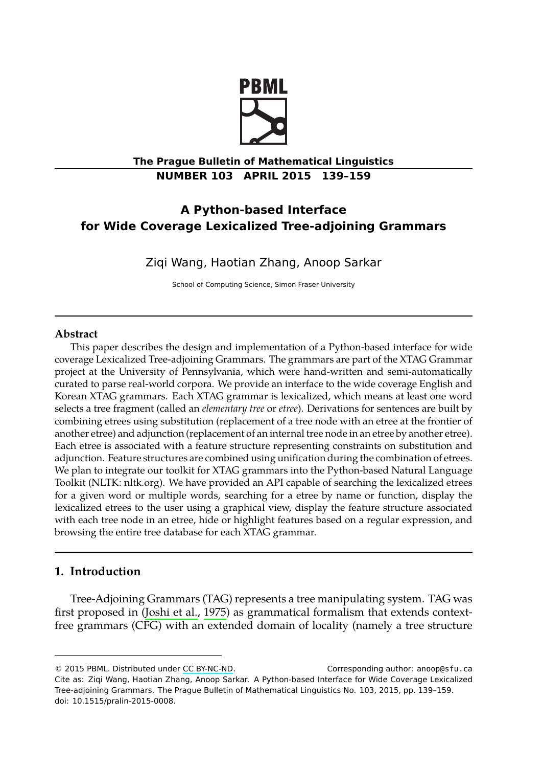

## **The Prague Bulletin of Mathematical Linguistics NUMBER 103 APRIL 2015 139–159**

# **A Python-based Interface for Wide Coverage Lexicalized Tree-adjoining Grammars**

Ziqi Wang, Haotian Zhang, Anoop Sarkar

School of Computing Science, Simon Fraser University

## **Abstract**

This paper describes the design and implementation of a Python-based interface for wide coverage Lexicalized Tree-adjoining Grammars. The grammars are part of the XTAG Grammar project at the University of Pennsylvania, which were hand-written and semi-automatically curated to parse real-world corpora. We provide an interface to the wide coverage English and Korean XTAG grammars. Each XTAG grammar is lexicalized, which means at least one word selects a tree fragment (called an *elementary tree* or *etree*). Derivations for sentences are built by combining etrees using substitution (replacement of a tree node with an etree at the frontier of another etree) and adjunction (replacement of an internal tree node in an etree by another etree). Each etree is associated with a feature structure representing constraints on substitution and adjunction. Feature structures are combined using unification during the combination of etrees. We plan to integrate our toolkit for XTAG grammars into the Python-based Natural Language Toolkit (NLTK: nltk.[org\). We have prov](#page-19-0)ided an API capable of searching the lexicalized etrees for a given word or multiple words, searching for a etree by name or function, display the lexicalized etrees to the user using a graphical view, display the feature structure associated with each tree node in an etree, hide or highlight features based on a regular expression, and browsing the entire tree database for each XTAG grammar.

## **1. Introduction**

Tree-Adjoining Grammars (TAG) represents a tree manipulating system. TAG was first proposed in (Joshi et al., 1975) as grammatical formalism that extends contextfree grammars (CFG) with an extended domain of locality (namely a tree structure

<sup>© 2015</sup> PBML. Distributed under CC BY-NC-ND. Corresponding author: anoop@sfu.ca Cite as: Ziqi Wang, Haotian Zhang, Anoop Sarkar. A Python-based Interface for Wide Coverage Lexicalized Tree-adjoining Grammars. The Prague Bulletin of Mathematical Linguistics No. 103, 2015, pp. 139–159. doi: 10.1515/pralin-2015-0008.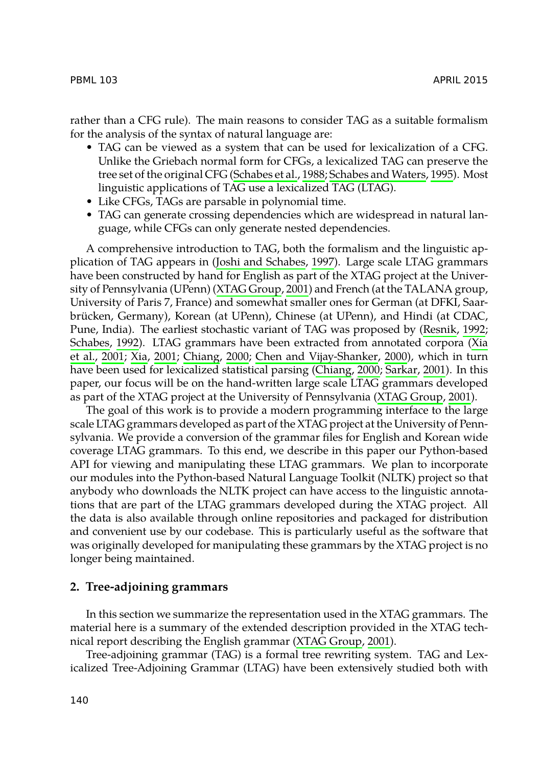rather than a CFG rule). The main reasons to consider TAG as a suitable formalism for the analysis of the syntax [of natural languag](#page-19-1)e [are:](#page-19-1)

- TAG can be viewed as a system that can be used for lexicalization of a CFG. Unlike the Griebach no[rmal form for CFGs](#page-20-0), a lexicalized TAG can preserve the tree set of the original CFG (Schabes et al., 1988; Schabes and Waters, 1995). Most linguistic applications of TAG use a lexicalized TAG (LTAG).
- Like CFGs, TAGs are parsable in polynomial time.
- [TAG can](#page-20-2) generate crossing dependencies which are widespread i[n natur](#page-20-1)a[l](#page-20-1) [lan](#page-20-3)[guage](#page-20-3)[, wh](#page-20-4)i[le CF](#page-20-4)[Gs can only ge](#page-19-2)[nerate nested dependencies.](#page-19-3)

A comprehensive introduction to TAG, both t[he formalism](#page-19-2) [and the lingu](#page-20-5)istic application of TAG appears in (Joshi and Schabes, 1997). Large scale LTAG grammars have been constructed by hand for English as part of the XTA[G project at th](#page-20-0)e [Univ](#page-20-0)ersity of Pennsylvania (UPenn) (XTAG Group, 2001) and French (at the TALANA group, University of Paris 7, France) and somewhat smaller ones for German (at DFKI, Saarbrücken, Germany), Korean (at UPenn), Chinese (at UPenn), and Hindi (at CDAC, Pune, India). The earliest stochastic variant of TAG was proposed by (Resnik, 1992; Schabes, 1992). LTAG grammars have been extracted from annotated corpora (Xia et al., 2001; Xia, 2001; Chiang, 2000; Chen and Vijay-Shanker, 2000), which in turn have been used for lexicalized statistical parsing (Chiang, 2000; Sarkar, 2001). In this paper, our focus will be on the hand-written large scale LTAG grammars developed as part of the XTAG project at the University of Pennsylvania (XTAG Group, 2001).

The goal of this work is to provide a modern programming interface to the large scale LTAG grammars developed as part of the XTAG project at the University of Pennsylvania. We provide a conversion of the grammar files for English and Korean wide coverage LTAG grammars. To this end, we describe in this paper our Python-based API for viewing and manipulating these LTAG grammars. We plan to incorporate our modules into the Python-based Natural Language Toolkit (NLTK) project so that anybody who downloads the NLTK project can have access to the linguistic annotations that are part of the LTAG grammars developed during the XTAG project. All the data is also available through online rep[ositories and packa](#page-20-0)ged for distribution and convenient use by our codebase. This is particularly useful as the software that was originally developed for manipulating these grammars by the XTAG project is no longer being maintained.

## **2. Tree-adjoining grammars**

In this section we summarize the representation used in the XTAG grammars. The material here is a summary of the extended description provided in the XTAG technical report describing the English grammar (XTAG Group, 2001).

Tree-adjoining grammar (TAG) is a formal tree rewriting system. TAG and Lexicalized Tree-Adjoining Grammar (LTAG) have been extensively studied both with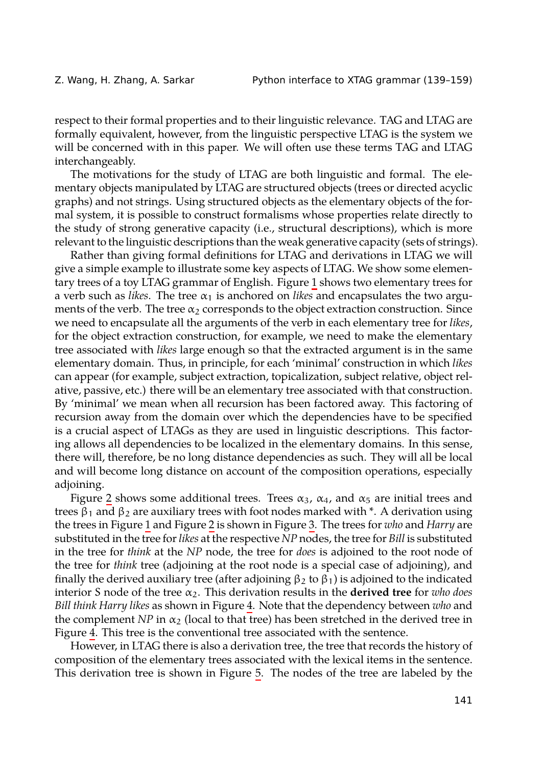respect to their formal properties and to their linguistic relevance. TAG and LTAG are formally equivalent, however, from the linguistic perspective LTAG is the system we will be concerned with in this paper. We will often [u](#page-3-0)se these terms TAG and LTAG interchangeably.

The motivations for the study of LTAG are both linguistic and formal. The elementary objects manipulated by LTAG are structured objects (trees or directed acyclic graphs) and not strings. Using structured objects as the elementary objects of the formal system, it is possible to construct formalisms whose properties relate directly to the study of strong generative capacity (i.e., structural descriptions), which is more relevant to the linguistic descriptions than the weak generative capacity (sets of strings).

Rather than giving formal definitions for LTAG and derivations in LTAG we will give a simple example to illustrate some key aspects of LTAG. We show some elementary trees of a toy LTAG grammar of English. Figure 1 shows two elementary trees for a verb such as *likes*. The tree  $\alpha_1$  is anchored on *likes* and encapsulates the two arguments of the verb. The tree  $\alpha_2$  corresponds to the object extraction construction. Since we need to encapsulate all the arguments of the verb in each elementary tree for *likes*, for the object extraction construction, for example, we need to make the elementary tree associated with *likes* large enough so that the extracted argument is in the same elementary domain. Thus, in principle, for each 'minimal' construction in which *likes* can appea[r](#page-3-1) (for example, subject extraction, topicalization, subject relative, object relative, passive, etc.) there will be an elementary tree associated with that construction. By 'minimal' we [me](#page-3-0)an when a[ll](#page-3-1) recursion has bee[n f](#page-4-0)actored away. This factoring of recursion away from the domain over which the dependencies have to be specified is a crucial aspect of LTAGs as they are used in linguistic descriptions. This factoring allows all dependencies to be localized in the elementary domains. In this sense, there will, therefore, be no long distance dependencies as such. They will all be local and will become long distance on acc[ou](#page-4-1)nt of the composition operations, especially adjoining.

Fig[ur](#page-4-1)e 2 shows some additional trees. Trees  $\alpha_3$ ,  $\alpha_4$ , and  $\alpha_5$  are initial trees and trees  $β_1$  and  $β_2$  are auxiliary trees with foot nodes marked with  $*$ . A derivation using the trees in Figure 1 and Figure 2 is shown in Figure 3. The trees for *who* and *Harry* are substituted in the tree for*likes* at the respective *NP* nodes, the tree for *Bill* is substituted in the tree for *think* at the *NP* node, the [tr](#page-5-0)ee for *does* is adjoined to the root node of the tree for *think* tree (adjoining at the root node is a special case of adjoining), and finally the derived auxiliary tree (after adjoining  $\beta_2$  to  $\beta_1$ ) is adjoined to the indicated interior S node of the tree α2. This derivation results in the **derived tree** for *who does Bill think Harry likes* as shown in Figure 4. Note that the dependency between *who* and the complement *NP* in  $\alpha_2$  (local to that tree) has been stretched in the derived tree in Figure 4. This tree is the conventional tree associated with the sentence.

However, in LTAG there is also a derivation tree, the tree that records the history of composition of the elementary trees associated with the lexical items in the sentence. This derivation tree is shown in Figure 5. The nodes of the tree are labeled by the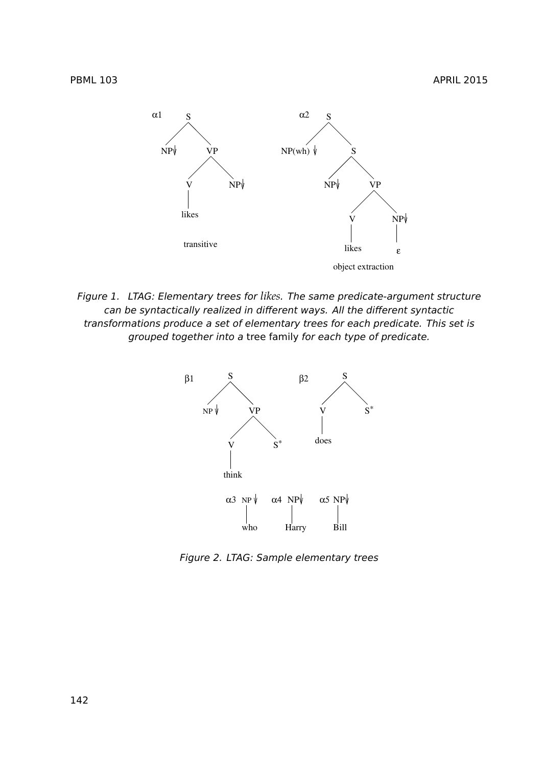

<span id="page-3-0"></span>*Figure 1. LTAG: Elementary trees for likes. The same predicate-argument structure can be syntactically realized in different ways. All the different syntactic transformations produce a set of elementary trees for each predicate. This set is grouped together into a* tree family *for each type of predicate.*



<span id="page-3-1"></span>*Figure 2. LTAG: Sample elementary trees*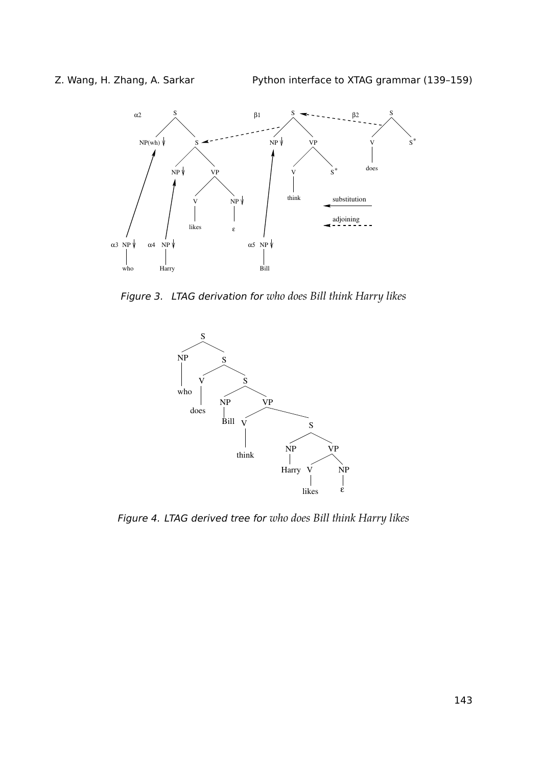

*Figure 3. LTAG derivation for who does Bill think Harry likes*

<span id="page-4-0"></span>

<span id="page-4-1"></span>*Figure 4. LTAG derived tree for who does Bill think Harry likes*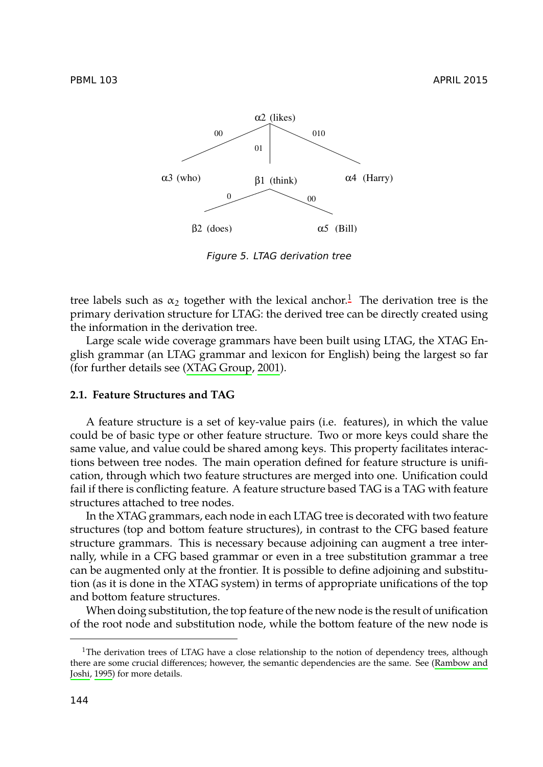<span id="page-5-0"></span>

*Figure 5. LTAG derivation tree*

tree labels such as  $\alpha_2$  together with the lexical anchor.<sup>1</sup> The derivation tree is the primary derivation structure for LTAG: the derived tree can be directly created using the information in the derivation tree.

Large scale wide coverage grammars have been built using LTAG, the XTAG English grammar (an LTAG grammar and lexicon for English) being the largest so far (for further details see (XTAG Group, 2001).

## **2.1. Feature Structures and TAG**

A feature structure is a set of key-value pairs (i.e. features), in which the value could be of basic type or other feature structure. Two or more keys could share the same value, and value could be shared among keys. This property facilitates interactions between tree nodes. The main operation defined for feature structure is unification, through which two feature structures are merged into one. Unification could fail if there is conflicting feature. A feature structure based TAG is a TAG with feature structures attached to tree nodes.

<span id="page-5-1"></span>In the XTAG grammars, each node in each LTAG tree is decorated with two feature structures (top and bottom feature structures), in contrast to the CFG based feature [structure](#page-20-6) grammars. This is necessary because adjoining can augment [a tree inter](#page-20-6)nally, while in a CFG based grammar or even in a tree substitution grammar a tree can be augmented only at the frontier. It is possible to define adjoining and substitution (as it is done in the XTAG system) in terms of appropriate unifications of the top and bottom feature structures.

When doing substitution, the top feature of the new node is the result of unification of the root node and substitution node, while the bottom feature of the new node is

<sup>&</sup>lt;sup>1</sup>The derivation trees of LTAG have a close relationship to the notion of dependency trees, although there are some crucial differences; however, the semantic dependencies are the same. See (Rambow and Joshi, 1995) for more details.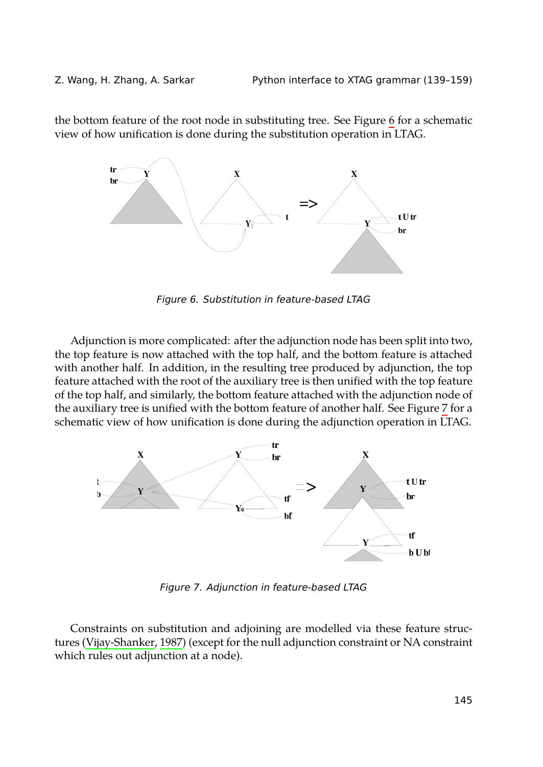the bottom feature of the root node in substituting tree. See Figure 6 for a schematic view of how unification is done during the substitution operation in LTAG.



*Figure 6. Substitution in feature-based LTAG*

Adjunction is more complicated: after the adjunction node has been split into two, the top feature is now attached with the top half, and the bottom feature is attached with another half. In addition, in the resulting tree produced by adjunction, the top feature attached with the root of the auxiliary tree is then unified with the top feature of the top half, and similarly, the bottom feature attached with the adjunction node of the auxiliary tree is unified with the bottom feature of another half. See Figure 7 for a schematic view of how unification is done during the adjunction operation in LTAG.



*Figure 7. Adjunction in feature-based LTAG*

Constraints on substitution and adjoining are modelled via these feature structures (Vijay-Shanker, 1987) (except for the null adjunction constraint or NA constraint which rules out adjunction at a node).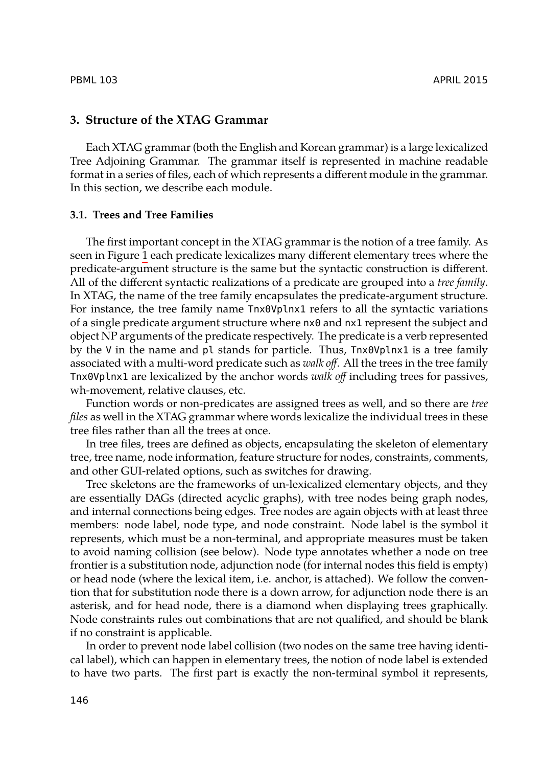## **3. Structure [of](#page-3-0) the XTAG Grammar**

Each XTAG grammar (both the English and Korean grammar) is a large lexicalized Tree Adjoining Grammar. The grammar itself is represented in machine readable format in a series of files, each of which represents a different module in the grammar. In this section, we describe each module.

### **3.1. Trees and Tree Families**

The first important concept in the XTAG grammar is the notion of a tree family. As seen in Figure 1 each predicate lexicalizes many different elementary trees where the predicate-argument structure is the same but the syntactic construction is different. All of the different syntactic realizations of a predicate are grouped into a *tree family*. In XTAG, the name of the tree family encapsulates the predicate-argument structure. For instance, the tree family name Tnx0Vplnx1 refers to all the syntactic variations of a single predicate argument structure where nx0 and nx1 represent the subject and object NP arguments of the predicate respectively. The predicate is a verb represented by the V in the name and pl stands for particle. Thus, Tnx0Vplnx1 is a tree family associated with a multi-word predicate such as *walk off*. All the trees in the tree family Tnx0Vplnx1 are lexicalized by the anchor words *walk off* including trees for passives, wh-movement, relative clauses, etc.

Function words or non-predicates are assigned trees as well, and so there are *tree files* as well in the XTAG grammar where words lexicalize the individual trees in these tree files rather than all the trees at once.

In tree files, trees are defined as objects, encapsulating the skeleton of elementary tree, tree name, node information, feature structure for nodes, constraints, comments, and other GUI-related options, such as switches for drawing.

Tree skeletons are the frameworks of un-lexicalized elementary objects, and they are essentially DAGs (directed acyclic graphs), with tree nodes being graph nodes, and internal connections being edges. Tree nodes are again objects with at least three members: node label, node type, and node constraint. Node label is the symbol it represents, which must be a non-terminal, and appropriate measures must be taken to avoid naming collision (see below). Node type annotates whether a node on tree frontier is a substitution node, adjunction node (for internal nodes this field is empty) or head node (where the lexical item, i.e. anchor, is attached). We follow the convention that for substitution node there is a down arrow, for adjunction node there is an asterisk, and for head node, there is a diamond when displaying trees graphically. Node constraints rules out combinations that are not qualified, and should be blank if no constraint is applicable.

In order to prevent node label collision (two nodes on the same tree having identical label), which can happen in elementary trees, the notion of node label is extended to have two parts. The first part is exactly the non-terminal symbol it represents,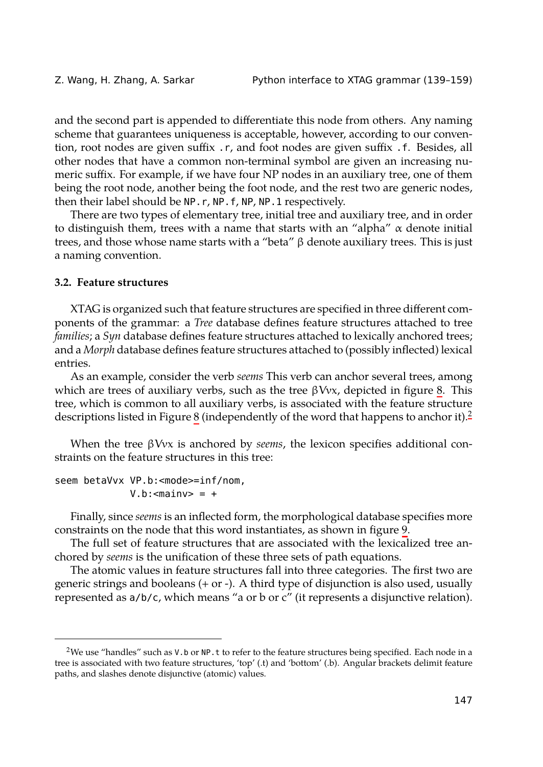and the second part is appended to differentiate this node from others. Any naming scheme that guarantees uniqueness is acceptable, however, according to our convention, root nodes are given suffix .r, and foot nodes are given suffix .f. Besides, all other nodes that have a common non-terminal symbol are given an increasing numeric suffix. For example, if we have four NP nodes in an auxiliary tree, one of them being the root node, another being the foot node, and the rest two are generic nodes, then their label should be NP.r, NP.f, NP, NP.1 respectively.

There are two types of elementary tree, initial tree and auxiliary tree, and in order to distinguish them, trees with a name that starts with an "alpha"  $\alpha$  denote initial trees, and those whose name starts with a "beta"  $\beta$  denote auxiliary trees. This is just a naming convention.

## **3.2. Feature structures**

XTAG is organized such that feature structures are specified in three different components of the grammar: a *Tree* database defines feature structures attached to tree *families*; a *Syn* database defines feature structures attached to lexically anchored trees; and a *Morph* database defines feature structures attached to (possibly inflected) lexical entries.

As an example, consider the verb *seems* This verb can anchor several trees, among which are trees of auxiliary verbs, such as the tree  $\beta Vvx$ , depicted in figure 8. This tree, which is common to all auxiliary verbs, is associated with the fe[at](#page-9-0)ure structure descriptions listed in Figure 8 (independently of the word that happens to anchor it).<sup>2</sup>

When the tree βVvx is anchored by *seems*, the lexicon specifies additional constraints on the feature structures in this tree:

```
seem betaVvx VP.b:<mode>=inf/nom,
 V.b: <mainv> = +
```
Finally, since *seems* is an inflected form, the morphological database specifies more constraints on the node that this word instantiates, as shown in figure 9.

The full set of feature structures that are associated with the lexicalized tree anchored by *seems* is the unification of these three sets of path equations.

The atomic values in feature structures fall into three categories. The first two are generic strings and booleans (+ or -). A third type of disjunction is also used, usually represented as a/b/c, which means "a or b or c" (it represents a disjunctive relation).

<sup>&</sup>lt;sup>2</sup>We use "handles" such as V.b or NP.t to refer to the feature structures being specified. Each node in a tree is associated with two feature structures, 'top' (.t) and 'bottom' (.b). Angular brackets delimit feature paths, and slashes denote disjunctive (atomic) values.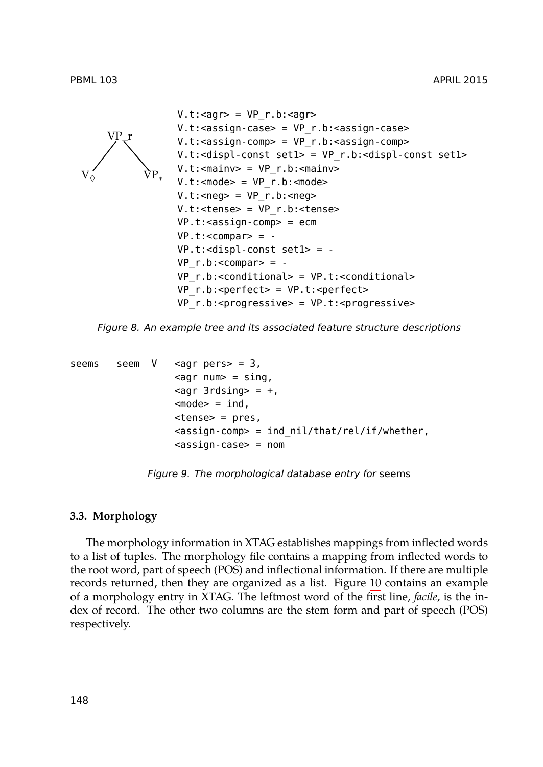$$
V.t:\langle agr \rangle = VP_r.b:\langle agr \rangle
$$
\n
$$
V.t:\langle \text{assign-case} \rangle = VP_r.b:\langle \text{assign-case} \rangle
$$
\n
$$
V.t:\langle \text{assign-comp} \rangle = VP_r.b:\langle \text{assign-comp} \rangle
$$
\n
$$
V.t:\langle \text{display-comp} \rangle = VP_r.b:\langle \text{assign-comp} \rangle
$$
\n
$$
V.t:\langle \text{main} \rangle = VP_r.b:\langle \text{main} \rangle
$$
\n
$$
V.t:\langle \text{main} \rangle = VP_r.b:\langle \text{main} \rangle
$$
\n
$$
V.t:\langle \text{model} \rangle = VP_r.b:\langle \text{model} \rangle
$$
\n
$$
V.t:\langle \text{steps} \rangle = VP_r.b:\langle \text{energy} \rangle
$$
\n
$$
V.t:\langle \text{classign-comp} \rangle = \text{ecm}
$$
\n
$$
VP.t:\langle \text{assign-comp} \rangle = \text{ecm}
$$
\n
$$
VP.t:\langle \text{display-comp} \rangle = \text{ecm}
$$
\n
$$
VP_r.b:\langle \text{compar} \rangle = \text{vem}
$$
\n
$$
VP_r.b:\langle \text{compar} \rangle = \text{vem}
$$
\n
$$
VP_r.b:\langle \text{compar} \rangle = \text{vem}
$$
\n
$$
VP_r.b:\langle \text{seurferet} \rangle = VP.t:\langle \text{conditional} \rangle
$$
\n
$$
VP_r.b:\langle \text{perfect} \rangle = VP.t:\langle \text{perfect} \rangle
$$

<span id="page-9-0"></span>*Figure 8. An example tree and its associated feature structure descriptions*

```
seems seem V <agr pers> = 3,
         <agr num> = sing,
         \langleagr 3rdsing> = +,
         <sub>mode</sub> = ind,</sub>
         <tense> = pres,
         <assign-comp> = ind_nil/that/rel/if/whether,
         <sub>assign-case</sub> = nom</sub>
```
*Figure 9. The morphological database entry for* seems

## **3.3. Morphology**

The morphology information in XTAG establishes mappings from inflected words to a list of tuples. The morphology file contains a mapping from inflected words to the root word, part of speech (POS) and inflectional information. If there are multiple records returned, then they are organized as a list. Figure 10 contains an example of a morphology entry in XTAG. The leftmost word of the first line, *facile*, is the index of record. The other two columns are the stem form and part of speech (POS) respectively.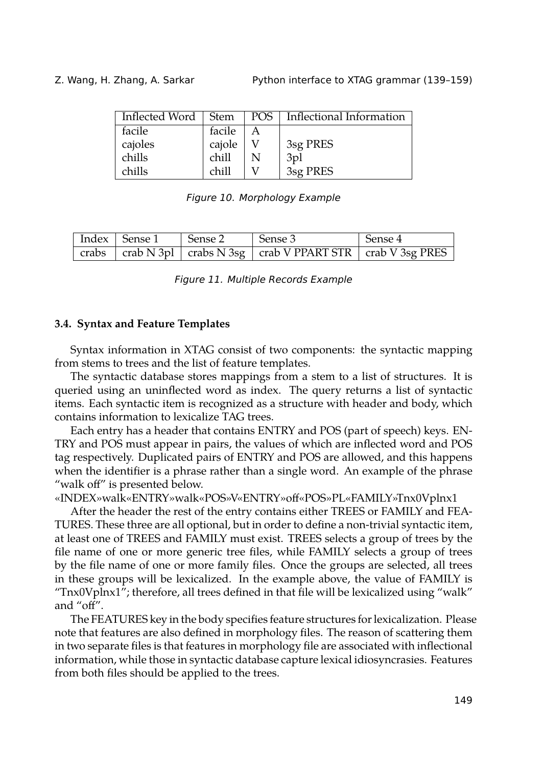| Inflected Word | <b>Stem</b> | <b>POS</b> | Inflectional Information |
|----------------|-------------|------------|--------------------------|
| facile         | facile      | A          |                          |
| cajoles        | cajole      |            | 3sg PRES                 |
| chills         | chill       |            | 3pl                      |
| chills         | chill       |            | 3sg PRES                 |

| Figure 10. Morphology Example |  |  |  |  |  |
|-------------------------------|--|--|--|--|--|
|-------------------------------|--|--|--|--|--|

| Index   Sense 1 | Sense 2 | Sense 3                                                                                       | Sense 4 |
|-----------------|---------|-----------------------------------------------------------------------------------------------|---------|
|                 |         | crabs $\vert$ crab N 3pl $\vert$ crabs N 3sg $\vert$ crab V PPART STR $\vert$ crab V 3sg PRES |         |

*Figure 11. Multiple Records Example*

#### **3.4. Syntax and Feature Templates**

Syntax information in XTAG consist of two components: the syntactic mapping from stems to trees and the list of feature templates.

The syntactic database stores mappings from a stem to a list of structures. It is queried using an uninflected word as index. The query returns a list of syntactic items. Each syntactic item is recognized as a structure with header and body, which contains information to lexicalize TAG trees.

Each entry has a header that contains ENTRY and POS (part of speech) keys. EN-TRY and POS must appear in pairs, the values of which are inflected word and POS tag respectively. Duplicated pairs of ENTRY and POS are allowed, and this happens when the identifier is a phrase rather than a single word. An example of the phrase "walk off" is presented below.

«INDEX»walk«ENTRY»walk«POS»V«ENTRY»off«POS»PL«FAMILY»Tnx0Vplnx1

After the header the rest of the entry contains either TREES or FAMILY and FEA-TURES. These three are all optional, but in order to define a non-trivial syntactic item, at least one of TREES and FAMILY must exist. TREES selects a group of trees by the file name of one or more generic tree files, while FAMILY selects a group of trees by the file name of one or more family files. Once the groups are selected, all trees in these groups will be lexicalized. In the example above, the value of FAMILY is "Tnx0Vplnx1"; therefore, all trees defined in that file will be lexicalized using "walk" and "off".

The FEATURES key in the body specifies feature structures for lexicalization. Please note that features are also defined in morphology files. The reason of scattering them in two separate files is that features in morphology file are associated with inflectional information, while those in syntactic database capture lexical idiosyncrasies. Features from both files should be applied to the trees.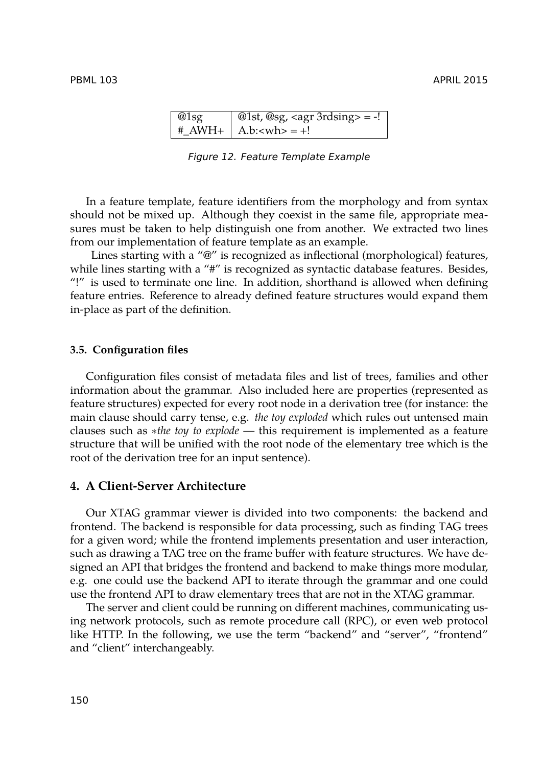| @1sg | @1st, @sg, <agr 3rdsing=""> = -!</agr> |
|------|----------------------------------------|
|      | # $AWH+   A.b: = +!$                   |

*Figure 12. Feature Template Example*

In a feature template, feature identifiers from the morphology and from syntax should not be mixed up. Although they coexist in the same file, appropriate measures must be taken to help distinguish one from another. We extracted two lines from our implementation of feature template as an example.

Lines starting with a "@" is recognized as inflectional (morphological) features, while lines starting with a "#" is recognized as syntactic database features. Besides, "!" is used to terminate one line. In addition, shorthand is allowed when defining feature entries. Reference to already defined feature structures would expand them in-place as part of the definition.

### **3.5. Configuration files**

Configuration files consist of metadata files and list of trees, families and other information about the grammar. Also included here are properties (represented as feature structures) expected for every root node in a derivation tree (for instance: the main clause should carry tense, e.g. *the toy exploded* which rules out untensed main clauses such as *∗the toy to explode* — this requirement is implemented as a feature structure that will be unified with the root node of the elementary tree which is the root of the derivation tree for an input sentence).

## **4. A Client-Server Architecture**

Our XTAG grammar viewer is divided into two components: the backend and frontend. The backend is responsible for data processing, such as finding TAG trees for a given word; while the frontend implements presentation and user interaction, such as drawing a TAG tree on the frame buffer with feature structures. We have designed an API that bridges the frontend and backend to make things more modular, e.g. one could use the backend API to iterate through the grammar and one could use the frontend API to draw elementary trees that are not in the XTAG grammar.

The server and client could be running on different machines, communicating using network protocols, such as remote procedure call (RPC), or even web protocol like HTTP. In the following, we use the term "backend" and "server", "frontend" and "client" interchangeably.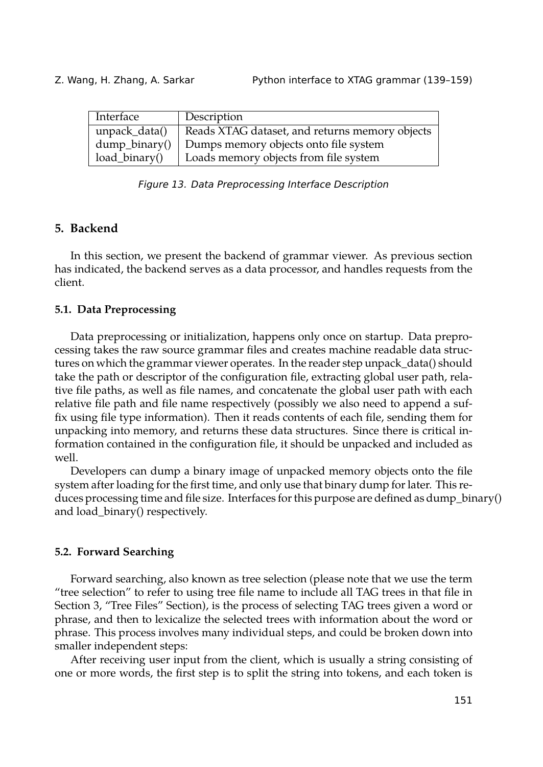| Interface        | Description                                    |
|------------------|------------------------------------------------|
| $unpack_data()$  | Reads XTAG dataset, and returns memory objects |
| $dump\_binary()$ | Dumps memory objects onto file system          |
| load_binary()    | Loads memory objects from file system          |

*Figure 13. Data Preprocessing Interface Description*

## **5. Backend**

In this section, we present the backend of grammar viewer. As previous section has indicated, the backend serves as a data processor, and handles requests from the client.

## **5.1. Data Preprocessing**

Data preprocessing or initialization, happens only once on startup. Data preprocessing takes the raw source grammar files and creates machine readable data structures on which the grammar viewer operates. In the reader step unpack data() should take the path or descriptor of the configuration file, extracting global user path, relative file paths, as well as file names, and concatenate the global user path with each relative file path and file name respectively (possibly we also need to append a suffix using file type information). Then it reads contents of each file, sending them for unpacking into memory, and returns these data structures. Since there is critical information contained in the configuration file, it should be unpacked and included as well.

Developers can dump a binary image of unpacked memory objects onto the file system after loading for the first time, and only use that binary dump for later. This reduces processing time and file size. Interfaces for this purpose are defined as dump\_binary() and load\_binary() respectively.

### **5.2. Forward Searching**

Forward searching, also known as tree selection (please note that we use the term "tree selection" to refer to using tree file name to include all TAG trees in that file in Section 3, "Tree Files" Section), is the process of selecting TAG trees given a word or phrase, and then to lexicalize the selected trees with information about the word or phrase. This process involves many individual steps, and could be broken down into smaller independent steps:

After receiving user input from the client, which is usually a string consisting of one or more words, the first step is to split the string into tokens, and each token is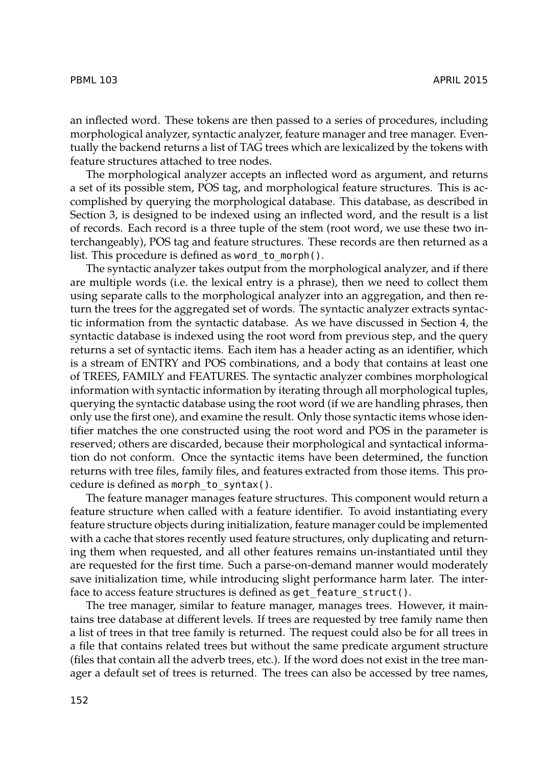an inflected word. These tokens are then passed to a series of procedures, including morphological analyzer, syntactic analyzer, feature manager and tree manager. Eventually the backend returns a list of TAG trees which are lexicalized by the tokens with feature structures attached to tree nodes.

The morphological analyzer accepts an inflected word as argument, and returns a set of its possible stem, POS tag, and morphological feature structures. This is accomplished by querying the morphological database. This database, as described in Section 3, is designed to be indexed using an inflected word, and the result is a list of records. Each record is a three tuple of the stem (root word, we use these two interchangeably), POS tag and feature structures. These records are then returned as a list. This procedure is defined as word\_to\_morph().

The syntactic analyzer takes output from the morphological analyzer, and if there are multiple words (i.e. the lexical entry is a phrase), then we need to collect them using separate calls to the morphological analyzer into an aggregation, and then return the trees for the aggregated set of words. The syntactic analyzer extracts syntactic information from the syntactic database. As we have discussed in Section 4, the syntactic database is indexed using the root word from previous step, and the query returns a set of syntactic items. Each item has a header acting as an identifier, which is a stream of ENTRY and POS combinations, and a body that contains at least one of TREES, FAMILY and FEATURES. The syntactic analyzer combines morphological information with syntactic information by iterating through all morphological tuples, querying the syntactic database using the root word (if we are handling phrases, then only use the first one), and examine the result. Only those syntactic items whose identifier matches the one constructed using the root word and POS in the parameter is reserved; others are discarded, because their morphological and syntactical information do not conform. Once the syntactic items have been determined, the function returns with tree files, family files, and features extracted from those items. This procedure is defined as morph\_to\_syntax().

The feature manager manages feature structures. This component would return a feature structure when called with a feature identifier. To avoid instantiating every feature structure objects during initialization, feature manager could be implemented with a cache that stores recently used feature structures, only duplicating and returning them when requested, and all other features remains un-instantiated until they are requested for the first time. Such a parse-on-demand manner would moderately save initialization time, while introducing slight performance harm later. The interface to access feature structures is defined as get\_feature\_struct().

The tree manager, similar to feature manager, manages trees. However, it maintains tree database at different levels. If trees are requested by tree family name then a list of trees in that tree family is returned. The request could also be for all trees in a file that contains related trees but without the same predicate argument structure (files that contain all the adverb trees, etc.). If the word does not exist in the tree manager a default set of trees is returned. The trees can also be accessed by tree names,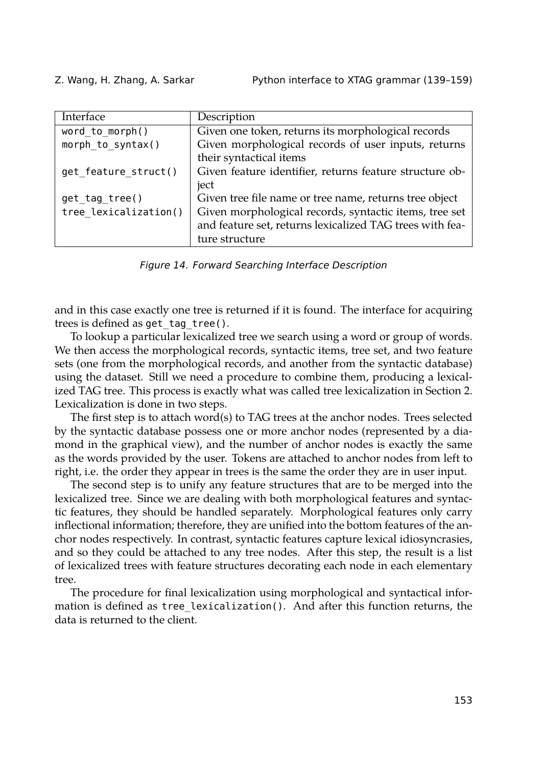| Interface             | Description                                              |
|-----------------------|----------------------------------------------------------|
| word to morph()       | Given one token, returns its morphological records       |
| morph_to_syntax()     | Given morphological records of user inputs, returns      |
|                       | their syntactical items                                  |
| get_feature_struct()  | Given feature identifier, returns feature structure ob-  |
|                       | ject                                                     |
| get_tag_tree()        | Given tree file name or tree name, returns tree object   |
| tree lexicalization() | Given morphological records, syntactic items, tree set   |
|                       | and feature set, returns lexicalized TAG trees with fea- |
|                       | ture structure                                           |

*Figure 14. Forward Searching Interface Description*

and in this case exactly one tree is returned if it is found. The interface for acquiring trees is defined as get tag tree().

To lookup a particular lexicalized tree we search using a word or group of words. We then access the morphological records, syntactic items, tree set, and two feature sets (one from the morphological records, and another from the syntactic database) using the dataset. Still we need a procedure to combine them, producing a lexicalized TAG tree. This process is exactly what was called tree lexicalization in Section 2. Lexicalization is done in two steps.

The first step is to attach word(s) to TAG trees at the anchor nodes. Trees selected by the syntactic database possess one or more anchor nodes (represented by a diamond in the graphical view), and the number of anchor nodes is exactly the same as the words provided by the user. Tokens are attached to anchor nodes from left to right, i.e. the order they appear in trees is the same the order they are in user input.

The second step is to unify any feature structures that are to be merged into the lexicalized tree. Since we are dealing with both morphological features and syntactic features, they should be handled separately. Morphological features only carry inflectional information; therefore, they are unified into the bottom features of the anchor nodes respectively. In contrast, syntactic features capture lexical idiosyncrasies, and so they could be attached to any tree nodes. After this step, the result is a list of lexicalized trees with feature structures decorating each node in each elementary tree.

The procedure for final lexicalization using morphological and syntactical information is defined as tree\_lexicalization(). And after this function returns, the data is returned to the client.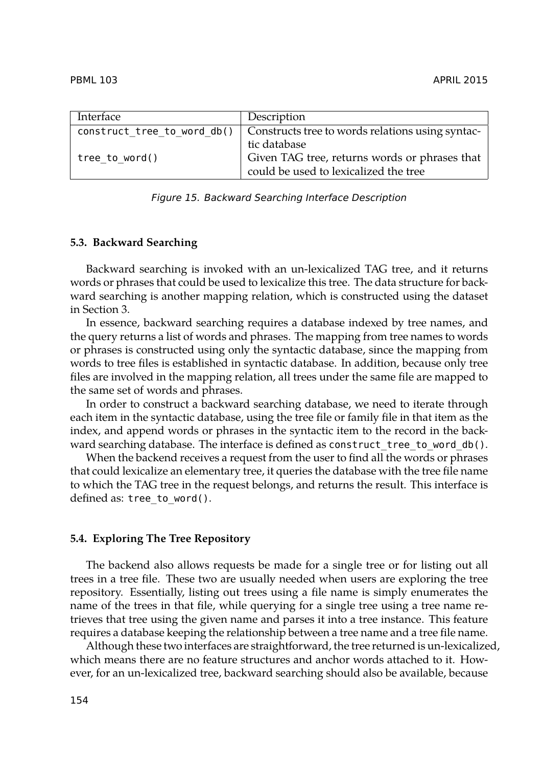| Interface      | Description                                                                    |
|----------------|--------------------------------------------------------------------------------|
|                | construct_tree_to_word_db()   Constructs tree to words relations using syntac- |
|                | tic database                                                                   |
| tree to word() | Given TAG tree, returns words or phrases that                                  |
|                | could be used to lexicalized the tree                                          |

|  |  | Figure 15. Backward Searching Interface Description |
|--|--|-----------------------------------------------------|
|  |  |                                                     |

### **5.3. Backward Searching**

Backward searching is invoked with an un-lexicalized TAG tree, and it returns words or phrases that could be used to lexicalize this tree. The data structure for backward searching is another mapping relation, which is constructed using the dataset in Section 3.

In essence, backward searching requires a database indexed by tree names, and the query returns a list of words and phrases. The mapping from tree names to words or phrases is constructed using only the syntactic database, since the mapping from words to tree files is established in syntactic database. In addition, because only tree files are involved in the mapping relation, all trees under the same file are mapped to the same set of words and phrases.

In order to construct a backward searching database, we need to iterate through each item in the syntactic database, using the tree file or family file in that item as the index, and append words or phrases in the syntactic item to the record in the backward searching database. The interface is defined as construct tree to word db().

When the backend receives a request from the user to find all the words or phrases that could lexicalize an elementary tree, it queries the database with the tree file name to which the TAG tree in the request belongs, and returns the result. This interface is defined as: tree\_to\_word().

### **5.4. Exploring The Tree Repository**

The backend also allows requests be made for a single tree or for listing out all trees in a tree file. These two are usually needed when users are exploring the tree repository. Essentially, listing out trees using a file name is simply enumerates the name of the trees in that file, while querying for a single tree using a tree name retrieves that tree using the given name and parses it into a tree instance. This feature requires a database keeping the relationship between a tree name and a tree file name.

Although these two interfaces are straightforward, the tree returned is un-lexicalized, which means there are no feature structures and anchor words attached to it. However, for an un-lexicalized tree, backward searching should also be available, because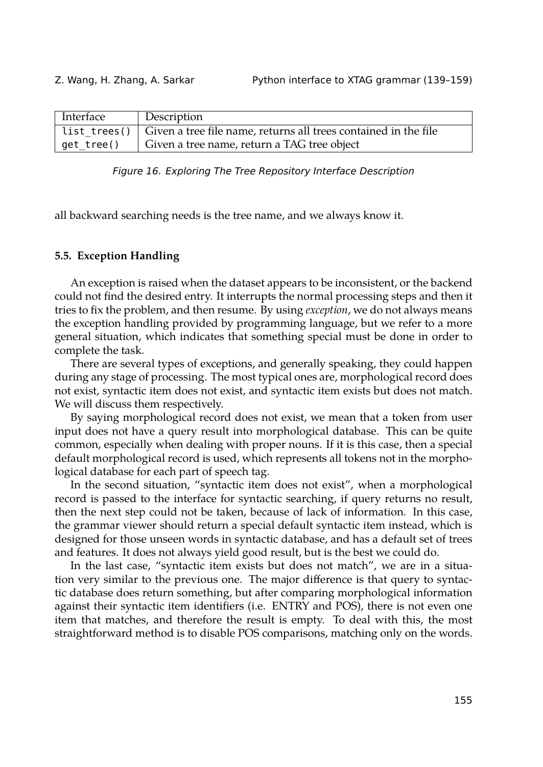| Interface  | Description                                                                                        |
|------------|----------------------------------------------------------------------------------------------------|
|            | $\sqrt{1}$ list trees() $\sqrt{1}$ Given a tree file name, returns all trees contained in the file |
| get tree() | Given a tree name, return a TAG tree object                                                        |

*Figure 16. Exploring The Tree Repository Interface Description*

all backward searching needs is the tree name, and we always know it.

#### **5.5. Exception Handling**

An exception is raised when the dataset appears to be inconsistent, or the backend could not find the desired entry. It interrupts the normal processing steps and then it tries to fix the problem, and then resume. By using *exception*, we do not always means the exception handling provided by programming language, but we refer to a more general situation, which indicates that something special must be done in order to complete the task.

There are several types of exceptions, and generally speaking, they could happen during any stage of processing. The most typical ones are, morphological record does not exist, syntactic item does not exist, and syntactic item exists but does not match. We will discuss them respectively.

By saying morphological record does not exist, we mean that a token from user input does not have a query result into morphological database. This can be quite common, especially when dealing with proper nouns. If it is this case, then a special default morphological record is used, which represents all tokens not in the morphological database for each part of speech tag.

In the second situation, "syntactic item does not exist", when a morphological record is passed to the interface for syntactic searching, if query returns no result, then the next step could not be taken, because of lack of information. In this case, the grammar viewer should return a special default syntactic item instead, which is designed for those unseen words in syntactic database, and has a default set of trees and features. It does not always yield good result, but is the best we could do.

In the last case, "syntactic item exists but does not match", we are in a situation very similar to the previous one. The major difference is that query to syntactic database does return something, but after comparing morphological information against their syntactic item identifiers (i.e. ENTRY and POS), there is not even one item that matches, and therefore the result is empty. To deal with this, the most straightforward method is to disable POS comparisons, matching only on the words.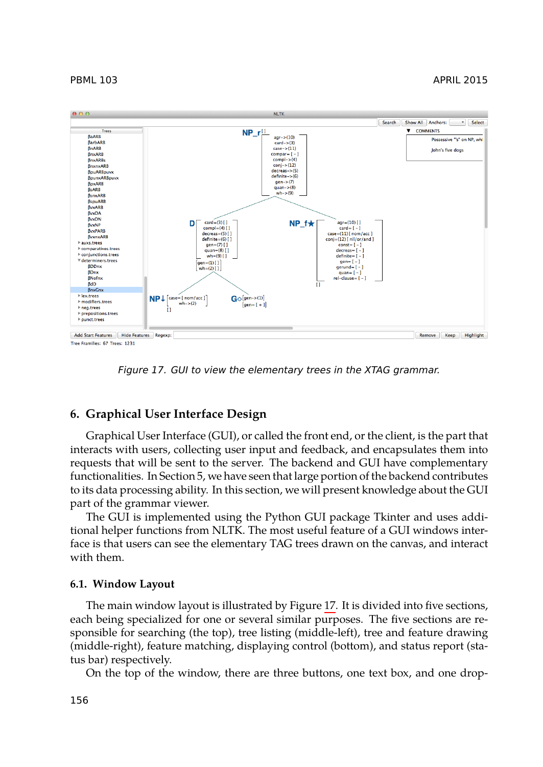

<span id="page-17-0"></span>*Figure 17. GUI to view the elementary trees in the XTAG grammar.*

## **6. Graphical User Interface Design**

Graphical User Interface (GUI), or called the front end, or the client, is the part that interacts with users, collecting user input and feedback, and encapsulates them into requests that will be sent to the server. The backend and GUI have complementary functionalities. In Section 5, we have seen that large [por](#page-17-0)tion of the backend contributes to its data processing ability. In this section, we will present knowledge about the GUI part of the grammar viewer.

The GUI is implemented using the Python GUI package Tkinter and uses additional helper functions from NLTK. The most useful feature of a GUI windows interface is that users can see the elementary TAG trees drawn on the canvas, and interact with them.

#### **6.1. Window Layout**

The main window layout is illustrated by Figure 17. It is divided into five sections, each being specialized for one or several similar purposes. The five sections are responsible for searching (the top), tree listing (middle-left), tree and feature drawing (middle-right), feature matching, displaying control (bottom), and status report (status bar) respectively.

On the top of the window, there are three buttons, one text box, and one drop-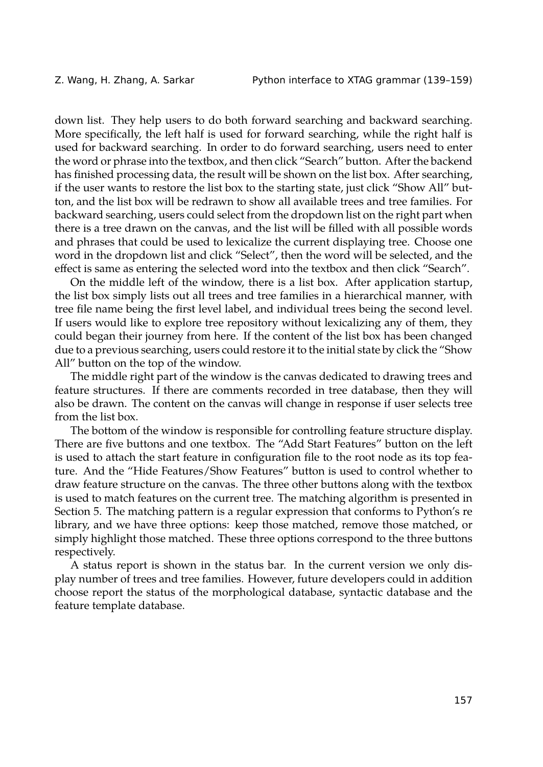down list. They help users to do both forward searching and backward searching. More specifically, the left half is used for forward searching, while the right half is used for backward searching. In order to do forward searching, users need to enter the word or phrase into the textbox, and then click "Search" button. After the backend has finished processing data, the result will be shown on the list box. After searching, if the user wants to restore the list box to the starting state, just click "Show All" button, and the list box will be redrawn to show all available trees and tree families. For backward searching, users could select from the dropdown list on the right part when there is a tree drawn on the canvas, and the list will be filled with all possible words and phrases that could be used to lexicalize the current displaying tree. Choose one word in the dropdown list and click "Select", then the word will be selected, and the effect is same as entering the selected word into the textbox and then click "Search".

On the middle left of the window, there is a list box. After application startup, the list box simply lists out all trees and tree families in a hierarchical manner, with tree file name being the first level label, and individual trees being the second level. If users would like to explore tree repository without lexicalizing any of them, they could began their journey from here. If the content of the list box has been changed due to a previous searching, users could restore it to the initial state by click the "Show All" button on the top of the window.

The middle right part of the window is the canvas dedicated to drawing trees and feature structures. If there are comments recorded in tree database, then they will also be drawn. The content on the canvas will change in response if user selects tree from the list box.

The bottom of the window is responsible for controlling feature structure display. There are five buttons and one textbox. The "Add Start Features" button on the left is used to attach the start feature in configuration file to the root node as its top feature. And the "Hide Features/Show Features" button is used to control whether to draw feature structure on the canvas. The three other buttons along with the textbox is used to match features on the current tree. The matching algorithm is presented in Section 5. The matching pattern is a regular expression that conforms to Python's re library, and we have three options: keep those matched, remove those matched, or simply highlight those matched. These three options correspond to the three buttons respectively.

A status report is shown in the status bar. In the current version we only display number of trees and tree families. However, future developers could in addition choose report the status of the morphological database, syntactic database and the feature template database.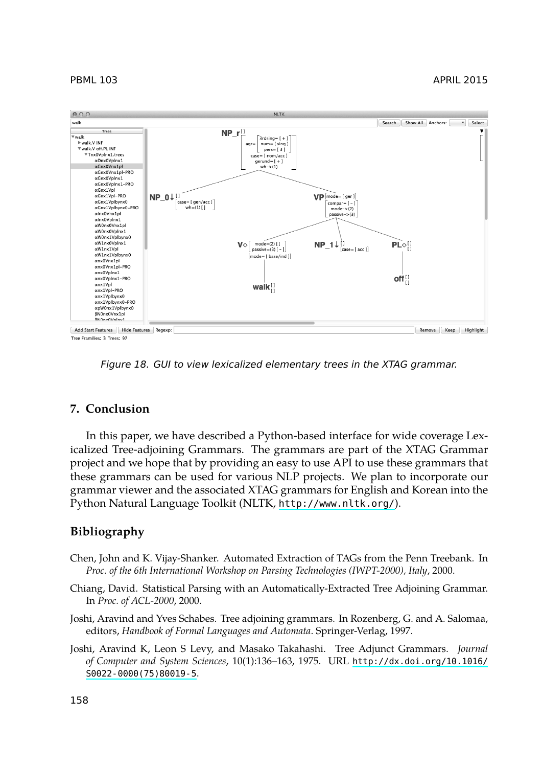

*Figure 18. GUI to view lexicalized elementary trees in the XTAG grammar.*

## **7. Conclusion**

<span id="page-19-3"></span><span id="page-19-2"></span>In this paper, we have described a Python-based interface for wide coverage Lexicalized Tree-adjoining Grammars. The grammars are part of the XTAG Grammar project and we hope that by providing an easy to use API to use these grammars that these grammars can be used for various NLP projects. We plan to incorporate our grammar viewer and the associated XTAG grammars for English and Korean into the Python Natural Language Toolkit (NLTK, http://www.nltk.org/).

## <span id="page-19-1"></span><span id="page-19-0"></span>**Bibliography**

- Chen, John and K. Vijay-Shanker. Automated Extraction of TAGs from the Penn Treebank. In *Proc. of the 6th International Workshop on Parsing Technologies (IWPT-2000), Italy*, 2000.
- Chiang, David. Statistical Parsing with an Automatically-Extracted Tree Adjoining Grammar. In *Proc. of ACL-2000*, 2000.
- Joshi, Aravind and Yves Schabes. Tree adjoining grammars. In Rozenberg, G. and A. Salomaa, editors, *Handbook of Formal Languages and Automata*. Springer-Verlag, 1997.
- Joshi, Aravind K, Leon S Levy, and Masako Takahashi. Tree Adjunct Grammars. *Journal of Computer and System Sciences*, 10(1):136–163, 1975. URL http://dx.doi.org/10.1016/ S0022-0000(75)80019-5.